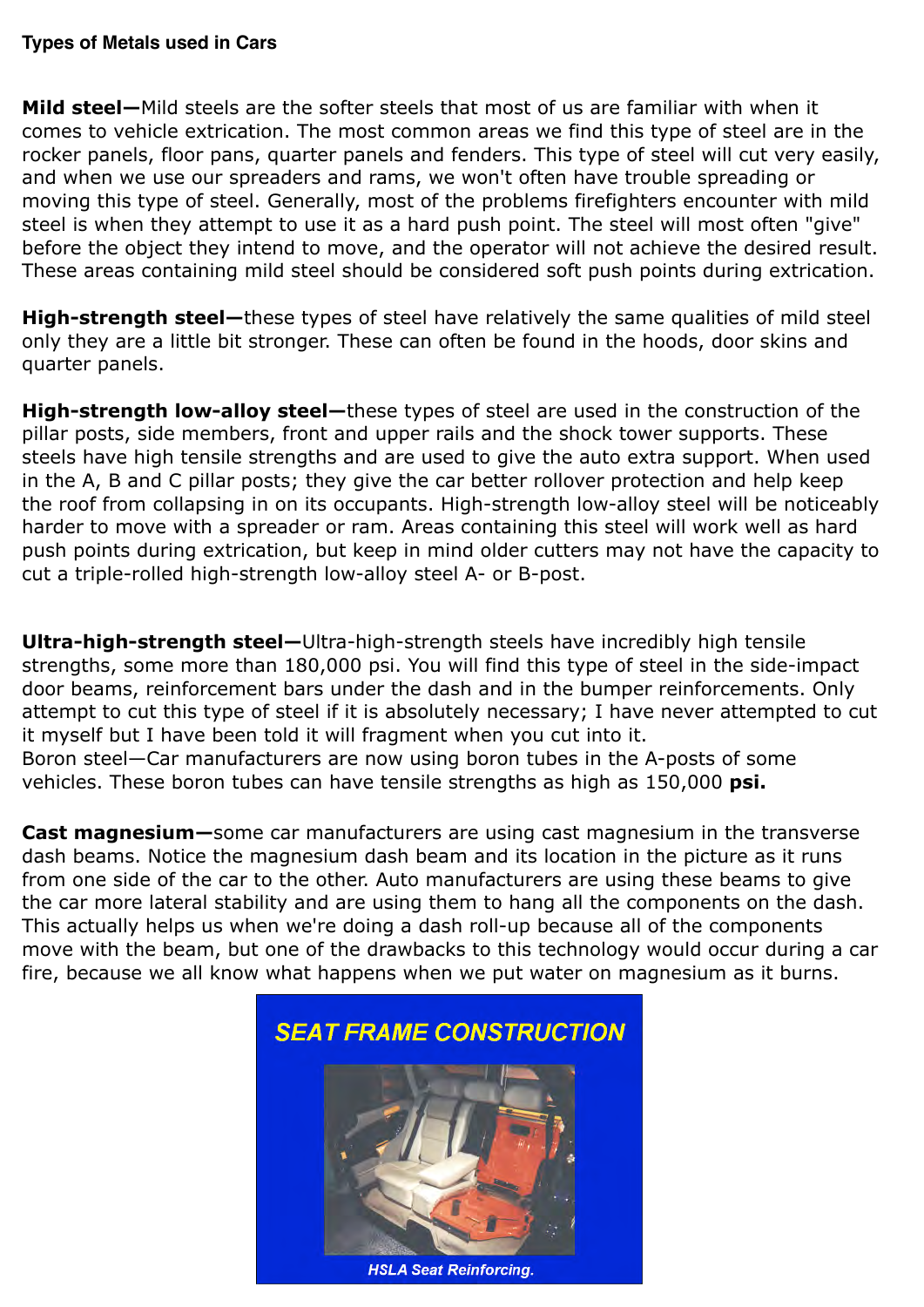**Mild steel—**Mild steels are the softer steels that most of us are familiar with when it comes to vehicle extrication. The most common areas we find this type of steel are in the rocker panels, floor pans, quarter panels and fenders. This type of steel will cut very easily, and when we use our spreaders and rams, we won't often have trouble spreading or moving this type of steel. Generally, most of the problems firefighters encounter with mild steel is when they attempt to use it as a hard push point. The steel will most often "give" before the object they intend to move, and the operator will not achieve the desired result. These areas containing mild steel should be considered soft push points during extrication.

**High-strength steel—**these types of steel have relatively the same qualities of mild steel only they are a little bit stronger. These can often be found in the hoods, door skins and quarter panels.

**High-strength low-alloy steel—**these types of steel are used in the construction of the pillar posts, side members, front and upper rails and the shock tower supports. These steels have high tensile strengths and are used to give the auto extra support. When used in the A, B and C pillar posts; they give the car better rollover protection and help keep the roof from collapsing in on its occupants. High-strength low-alloy steel will be noticeably harder to move with a spreader or ram. Areas containing this steel will work well as hard push points during extrication, but keep in mind older cutters may not have the capacity to cut a triple-rolled high-strength low-alloy steel A- or B-post.

**Ultra-high-strength steel—**Ultra-high-strength steels have incredibly high tensile strengths, some more than 180,000 psi. You will find this type of steel in the side-impact door beams, reinforcement bars under the dash and in the bumper reinforcements. Only attempt to cut this type of steel if it is absolutely necessary; I have never attempted to cut it myself but I have been told it will fragment when you cut into it. Boron steel—Car manufacturers are now using boron tubes in the A-posts of some vehicles. These boron tubes can have tensile strengths as high as 150,000 **psi.**

**Cast magnesium—**some car manufacturers are using cast magnesium in the transverse dash beams. Notice the magnesium dash beam and its location in the picture as it runs from one side of the car to the other. Auto manufacturers are using these beams to give the car more lateral stability and are using them to hang all the components on the dash. This actually helps us when we're doing a dash roll-up because all of the components move with the beam, but one of the drawbacks to this technology would occur during a car fire, because we all know what happens when we put water on magnesium as it burns.

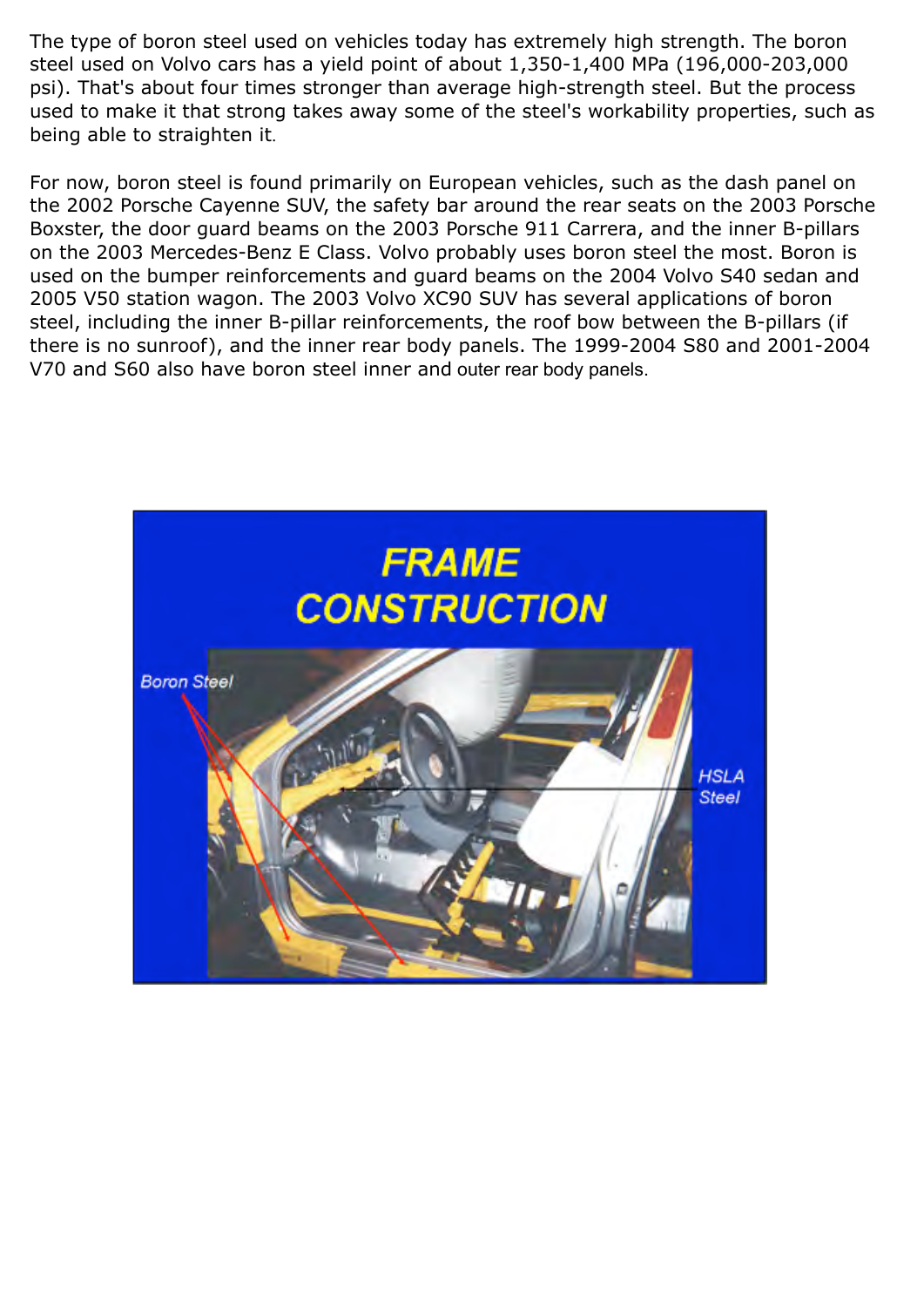The type of boron steel used on vehicles today has extremely high strength. The boron steel used on Volvo cars has a yield point of about 1,350-1,400 MPa (196,000-203,000 psi). That's about four times stronger than average high-strength steel. But the process used to make it that strong takes away some of the steel's workability properties, such as being able to straighten it.

For now, boron steel is found primarily on European vehicles, such as the dash panel on the 2002 Porsche Cayenne SUV, the safety bar around the rear seats on the 2003 Porsche Boxster, the door guard beams on the 2003 Porsche 911 Carrera, and the inner B-pillars on the 2003 Mercedes-Benz E Class. Volvo probably uses boron steel the most. Boron is used on the bumper reinforcements and guard beams on the 2004 Volvo S40 sedan and 2005 V50 station wagon. The 2003 Volvo XC90 SUV has several applications of boron steel, including the inner B-pillar reinforcements, the roof bow between the B-pillars (if there is no sunroof), and the inner rear body panels. The 1999-2004 S80 and 2001-2004 V70 and S60 also have boron steel inner and outer rear body panels.

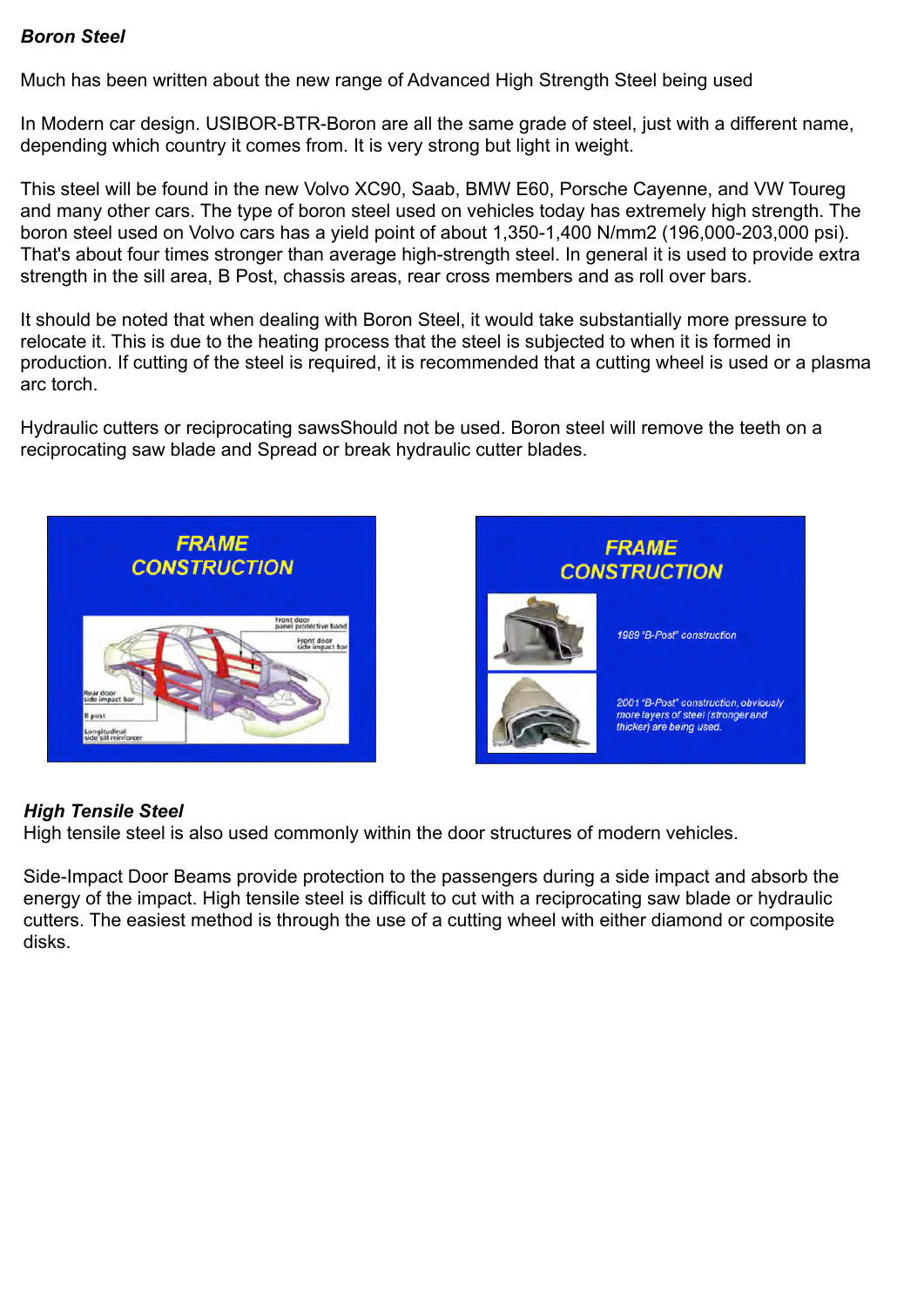## *Boron Steel*

Much has been written about the new range of Advanced High Strength Steel being used

In Modern car design. USIBOR-BTR-Boron are all the same grade of steel, just with a different name, depending which country it comes from. It is very strong but light in weight.

This steel will be found in the new Volvo XC90, Saab, BMW E60, Porsche Cayenne, and VW Toureg and many other cars. The type of boron steel used on vehicles today has extremely high strength. The boron steel used on Volvo cars has a yield point of about 1,350-1,400 N/mm2 (196,000-203,000 psi). That's about four times stronger than average high-strength steel. In general it is used to provide extra strength in the sill area, B Post, chassis areas, rear cross members and as roll over bars.

It should be noted that when dealing with Boron Steel, it would take substantially more pressure to relocate it. This is due to the heating process that the steel is subjected to when it is formed in production. If cutting of the steel is required, it is recommended that a cutting wheel is used or a plasma arc torch.

Hydraulic cutters or reciprocating sawsShould not be used. Boron steel will remove the teeth on a reciprocating saw blade and Spread or break hydraulic cutter blades.



## *High Tensile Steel*

High tensile steel is also used commonly within the door structures of modern vehicles.

Side-Impact Door Beams provide protection to the passengers during a side impact and absorb the energy of the impact. High tensile steel is difficult to cut with a reciprocating saw blade or hydraulic cutters. The easiest method is through the use of a cutting wheel with either diamond or composite disks.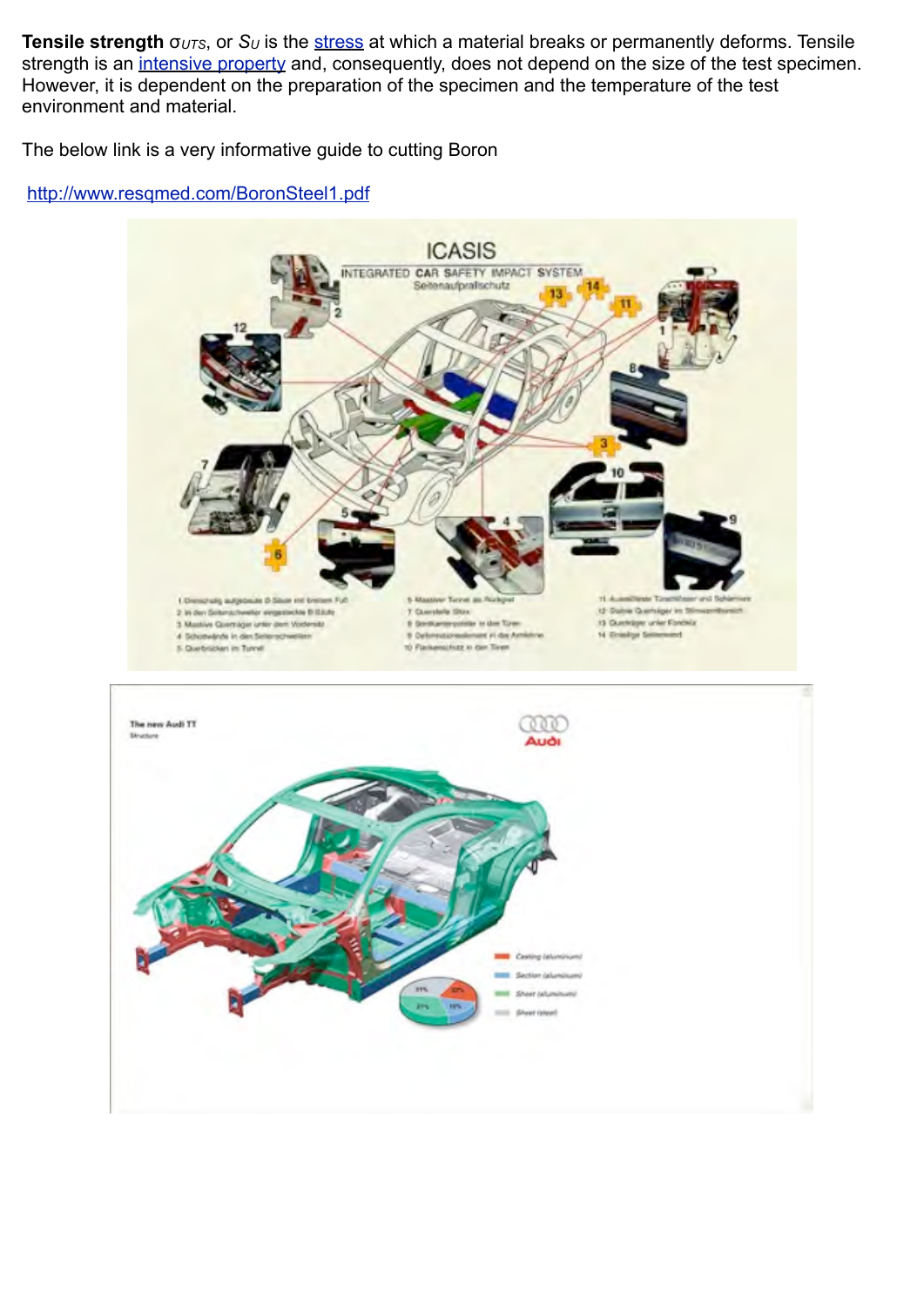**Tensile strength** σ<sub>*UTS*</sub>, or *S<sub>U</sub>* is the [stress](http://en.wikipedia.org/wiki/Stress_%28physics%29) at which a material breaks or permanently deforms. Tensile strength is an [intensive property](http://en.wikipedia.org/wiki/Intensive_and_extensive_properties) and, consequently, does not depend on the size of the test specimen. However, it is dependent on the preparation of the specimen and the temperature of the test environment and material.

The below link is a very informative guide to cutting Boron

## <http://www.resqmed.com/BoronSteel1.pdf>